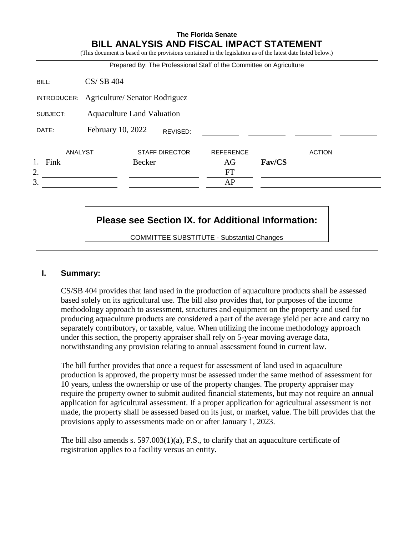## **The Florida Senate BILL ANALYSIS AND FISCAL IMPACT STATEMENT**

|             |                                   |        |                       | Prepared By: The Professional Staff of the Committee on Agriculture |        |               |
|-------------|-----------------------------------|--------|-----------------------|---------------------------------------------------------------------|--------|---------------|
| BILL:       | $CS/SB$ 404                       |        |                       |                                                                     |        |               |
| INTRODUCER: | Agriculture/ Senator Rodriguez    |        |                       |                                                                     |        |               |
| SUBJECT:    | <b>Aquaculture Land Valuation</b> |        |                       |                                                                     |        |               |
| DATE:       | February 10, 2022                 |        | REVISED:              |                                                                     |        |               |
| ANALYST     |                                   |        | <b>STAFF DIRECTOR</b> | <b>REFERENCE</b>                                                    |        | <b>ACTION</b> |
| Fink        |                                   | Becker |                       | AG                                                                  | Fav/CS |               |
| 2.          |                                   |        |                       | <b>FT</b>                                                           |        |               |
| 3.          |                                   |        |                       | AP                                                                  |        |               |

# **Please see Section IX. for Additional Information:**

COMMITTEE SUBSTITUTE - Substantial Changes

## **I. Summary:**

CS/SB 404 provides that land used in the production of aquaculture products shall be assessed based solely on its agricultural use. The bill also provides that, for purposes of the income methodology approach to assessment, structures and equipment on the property and used for producing aquaculture products are considered a part of the average yield per acre and carry no separately contributory, or taxable, value. When utilizing the income methodology approach under this section, the property appraiser shall rely on 5-year moving average data, notwithstanding any provision relating to annual assessment found in current law.

The bill further provides that once a request for assessment of land used in aquaculture production is approved, the property must be assessed under the same method of assessment for 10 years, unless the ownership or use of the property changes. The property appraiser may require the property owner to submit audited financial statements, but may not require an annual application for agricultural assessment. If a proper application for agricultural assessment is not made, the property shall be assessed based on its just, or market, value. The bill provides that the provisions apply to assessments made on or after January 1, 2023.

The bill also amends s. 597.003(1)(a), F.S., to clarify that an aquaculture certificate of registration applies to a facility versus an entity.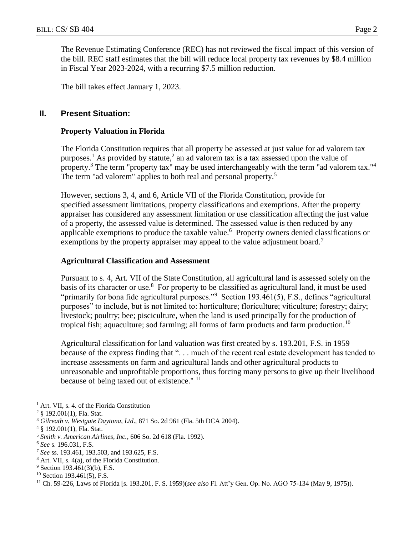The Revenue Estimating Conference (REC) has not reviewed the fiscal impact of this version of the bill. REC staff estimates that the bill will reduce local property tax revenues by \$8.4 million in Fiscal Year 2023-2024, with a recurring \$7.5 million reduction.

The bill takes effect January 1, 2023.

## **II. Present Situation:**

## **Property Valuation in Florida**

The Florida Constitution requires that all property be assessed at just value for ad valorem tax purposes.<sup>1</sup> As provided by statute,<sup>2</sup> an ad valorem tax is a tax assessed upon the value of property.<sup>3</sup> The term "property tax" may be used interchangeably with the term "ad valorem tax."<sup>4</sup> The term "ad valorem" applies to both real and personal property.<sup>5</sup>

However, sections 3, 4, and 6, Article VII of the Florida Constitution, provide for specified assessment limitations, property classifications and exemptions. After the property appraiser has considered any assessment limitation or use classification affecting the just value of a property, the assessed value is determined. The assessed value is then reduced by any applicable exemptions to produce the taxable value.<sup>6</sup> Property owners denied classifications or exemptions by the property appraiser may appeal to the value adjustment board.<sup>7</sup>

## **Agricultural Classification and Assessment**

Pursuant to s. 4, Art. VII of the State Constitution, all agricultural land is assessed solely on the basis of its character or use.<sup>8</sup> For property to be classified as agricultural land, it must be used "primarily for bona fide agricultural purposes."<sup>9</sup> Section 193.461(5), F.S., defines "agricultural purposes" to include, but is not limited to: horticulture; floriculture; viticulture; forestry; dairy; livestock; poultry; bee; pisciculture, when the land is used principally for the production of tropical fish; aquaculture; sod farming; all forms of farm products and farm production.<sup>10</sup>

Agricultural classification for land valuation was first created by s. 193.201, F.S. in 1959 because of the express finding that "... much of the recent real estate development has tended to increase assessments on farm and agricultural lands and other agricultural products to unreasonable and unprofitable proportions, thus forcing many persons to give up their livelihood because of being taxed out of existence." <sup>11</sup>

 $\overline{a}$ 

<sup>&</sup>lt;sup>1</sup> Art. VII, s. 4. of the Florida Constitution

<sup>2</sup> § 192.001(1), Fla. Stat.

<sup>3</sup> *Gilreath v. Westgate Daytona*, *Ltd*., 871 So. 2d 961 (Fla. 5th DCA 2004).

<sup>4</sup> § 192.001(1), Fla. Stat.

<sup>5</sup> *Smith v. American Airlines, Inc.*, 606 So. 2d 618 (Fla. 1992).

<sup>6</sup> *See* s. 196.031, F.S.

<sup>7</sup> *See* ss. 193.461, 193.503, and 193.625, F.S.

<sup>8</sup> Art. VII, s. 4(a), of the Florida Constitution.

 $9$  Section 193.461(3)(b), F.S.

 $10$  Section 193.461(5), F.S.

<sup>11</sup> Ch. 59-226, Laws of Florida [s. 193.201, F. S. 1959)(*see also* Fl. Att'y Gen. Op. No. AGO 75-134 (May 9, 1975)).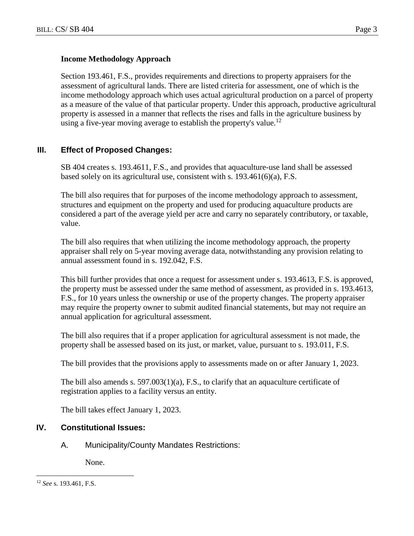#### **Income Methodology Approach**

Section 193.461, F.S., provides requirements and directions to property appraisers for the assessment of agricultural lands. There are listed criteria for assessment, one of which is the income methodology approach which uses actual agricultural production on a parcel of property as a measure of the value of that particular property. Under this approach, productive agricultural property is assessed in a manner that reflects the rises and falls in the agriculture business by using a five-year moving average to establish the property's value.<sup>12</sup>

## **III. Effect of Proposed Changes:**

SB 404 creates s. 193.4611, F.S., and provides that aquaculture-use land shall be assessed based solely on its agricultural use, consistent with s. 193.461(6)(a), F.S.

The bill also requires that for purposes of the income methodology approach to assessment, structures and equipment on the property and used for producing aquaculture products are considered a part of the average yield per acre and carry no separately contributory, or taxable, value.

The bill also requires that when utilizing the income methodology approach, the property appraiser shall rely on 5-year moving average data, notwithstanding any provision relating to annual assessment found in s. 192.042, F.S.

This bill further provides that once a request for assessment under s. 193.4613, F.S. is approved, the property must be assessed under the same method of assessment, as provided in s. 193.4613, F.S., for 10 years unless the ownership or use of the property changes. The property appraiser may require the property owner to submit audited financial statements, but may not require an annual application for agricultural assessment.

The bill also requires that if a proper application for agricultural assessment is not made, the property shall be assessed based on its just, or market, value, pursuant to s. 193.011, F.S.

The bill provides that the provisions apply to assessments made on or after January 1, 2023.

The bill also amends s.  $597.003(1)(a)$ , F.S., to clarify that an aquaculture certificate of registration applies to a facility versus an entity.

The bill takes effect January 1, 2023.

#### **IV. Constitutional Issues:**

A. Municipality/County Mandates Restrictions:

None.

 $\overline{a}$ <sup>12</sup> *See* s. 193.461, F.S.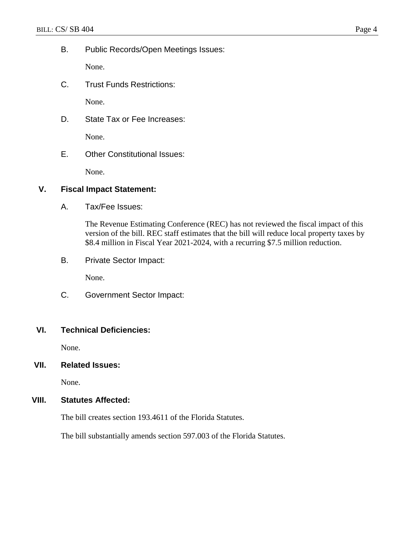B. Public Records/Open Meetings Issues:

None.

C. Trust Funds Restrictions:

None.

D. State Tax or Fee Increases:

None.

E. Other Constitutional Issues:

None.

## **V. Fiscal Impact Statement:**

A. Tax/Fee Issues:

The Revenue Estimating Conference (REC) has not reviewed the fiscal impact of this version of the bill. REC staff estimates that the bill will reduce local property taxes by \$8.4 million in Fiscal Year 2021-2024, with a recurring \$7.5 million reduction.

B. Private Sector Impact:

None.

C. Government Sector Impact:

## **VI. Technical Deficiencies:**

None.

# **VII. Related Issues:**

None.

## **VIII. Statutes Affected:**

The bill creates section 193.4611 of the Florida Statutes.

The bill substantially amends section 597.003 of the Florida Statutes.